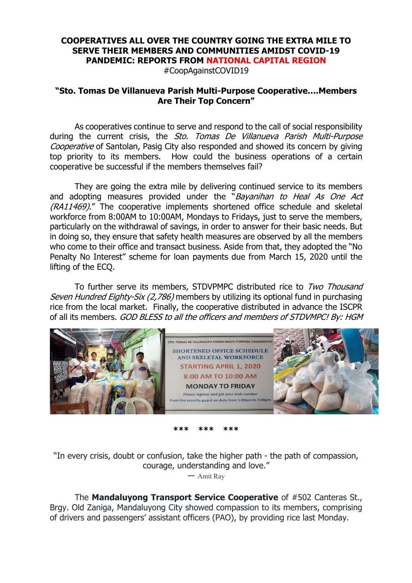## **COOPERATIVES ALL OVER THE COUNTRY GOING THE EXTRA MILE TO SERVE THEIR MEMBERS AND COMMUNITIES AMIDST COVID-19 PANDEMIC: REPORTS FROM NATIONAL CAPITAL REGION**

#CoopAgainstCOVID19

## **"Sto. Tomas De Villanueva Parish Multi-Purpose Cooperative….Members Are Their Top Concern"**

As cooperatives continue to serve and respond to the call of social responsibility during the current crisis, the Sto. Tomas De Villanueva Parish Multi-Purpose Cooperative of Santolan, Pasig City also responded and showed its concern by giving top priority to its members. How could the business operations of a certain cooperative be successful if the members themselves fail?

They are going the extra mile by delivering continued service to its members and adopting measures provided under the "Bayanihan to Heal As One Act (RA11469)." The cooperative implements shortened office schedule and skeletal workforce from 8:00AM to 10:00AM, Mondays to Fridays, just to serve the members, particularly on the withdrawal of savings, in order to answer for their basic needs. But in doing so, they ensure that safety health measures are observed by all the members who come to their office and transact business. Aside from that, they adopted the "No Penalty No Interest" scheme for loan payments due from March 15, 2020 until the lifting of the ECQ.

To further serve its members, STDVPMPC distributed rice to Two Thousand Seven Hundred Eighty-Six (2,786) members by utilizing its optional fund in purchasing rice from the local market. Finally, the cooperative distributed in advance the ISCPR of all its members. GOD BLESS to all the officers and members of STDVMPC! By: HGM



**\*\*\* \*\*\* \*\*\***

"In every crisis, doubt or confusion, take the higher path - the path of compassion, courage, understanding and love."

― Amit Ray

The **Mandaluyong Transport Service Cooperative** of #502 Canteras St., Brgy. Old Zaniga, Mandaluyong City showed compassion to its members, comprising of drivers and passengers' assistant officers (PAO), by providing rice last Monday.